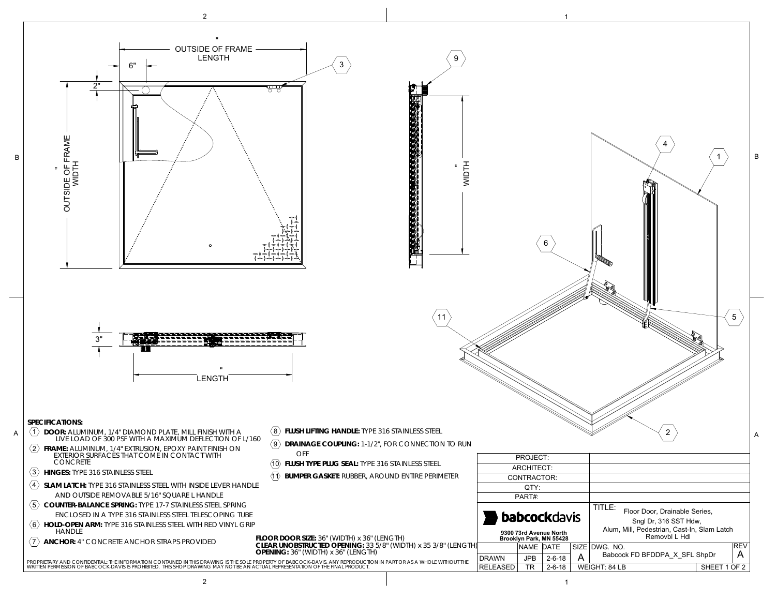## **LOCK OPTIONS**

36.00

● STD Slam Latch<br>● Padlock Hasp<br>● Recess Padlock Hasp

36.00

BFDDPA36X36SFL.